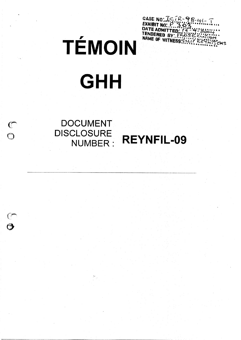CASE NO: ICTR-98-41-1<br>EXHIBIT NO: P. 3.03<br>DATE ADMITTED: 72.93<br>TENDERED BY: FROSE E.L.710 **ENS** 

# TÉMOIN

# **GHH**

# DOCUMENT **DISCLOSURE** NUMBER: REYNFIL-09

 $\mathcal{F}_{\text{int}}$ 

 $\overline{O}$ 

 $\mathcal{C}$ 

 $\ddot{\mathbf{O}}$ 

 $\mathbb{C}$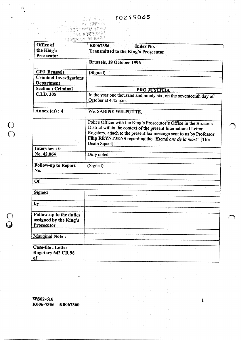<u>Lisari bena</u>brah <u> 1941 and</u>ré 1

ti a t

(前提 钢钢  $\sim$   $\sqrt{2}$   $\approx$   $\sqrt{2}$ 

 $\mathcal{E}_k$ 

ti,

 $\frac{0}{\Theta}$ 

 $\breve{\mathbf{\Theta}}$ 

| Office of                                                       | K0067356<br>Index No.                                                                                                                                                                                                                                                                      |
|-----------------------------------------------------------------|--------------------------------------------------------------------------------------------------------------------------------------------------------------------------------------------------------------------------------------------------------------------------------------------|
| the King's                                                      | Transmitted to the King's Prosecutor                                                                                                                                                                                                                                                       |
| Prosecutor                                                      |                                                                                                                                                                                                                                                                                            |
|                                                                 | Brussels, 18 October 1996                                                                                                                                                                                                                                                                  |
| <b>GPJ</b> Brussels                                             | (Signed)                                                                                                                                                                                                                                                                                   |
| <b>Criminal Investigations</b>                                  |                                                                                                                                                                                                                                                                                            |
| Department                                                      |                                                                                                                                                                                                                                                                                            |
| <b>Section: Criminal</b>                                        | PRO JUSTITIA                                                                                                                                                                                                                                                                               |
| C.I.D. 305                                                      | In the year one thousand and ninety-six, on the seventeenth day of<br>October at 4.45 p.m.                                                                                                                                                                                                 |
| Annex (es) : 4                                                  | We, SABINE WILPUTTE.                                                                                                                                                                                                                                                                       |
|                                                                 | Police Officer with the King's Prosecutor's Office in the Brussels<br>District within the context of the present International Letter<br>Rogatory, attach to the present fax message sent to us by Professor<br>Filip REYNTJENS regarding the "Escadrons de la mort" [The<br>Death Squad]. |
| Interview: 0                                                    |                                                                                                                                                                                                                                                                                            |
| No. 42.064                                                      | Duly noted.                                                                                                                                                                                                                                                                                |
| Follow-up to Report<br>No.                                      | (Signed)                                                                                                                                                                                                                                                                                   |
| Of                                                              |                                                                                                                                                                                                                                                                                            |
|                                                                 |                                                                                                                                                                                                                                                                                            |
| <b>Signed</b>                                                   |                                                                                                                                                                                                                                                                                            |
|                                                                 |                                                                                                                                                                                                                                                                                            |
| by                                                              |                                                                                                                                                                                                                                                                                            |
|                                                                 |                                                                                                                                                                                                                                                                                            |
| Follow-up to the duties<br>assigned by the King's<br>Prosecutor |                                                                                                                                                                                                                                                                                            |
|                                                                 |                                                                                                                                                                                                                                                                                            |
| <b>Marginal Note:</b>                                           |                                                                                                                                                                                                                                                                                            |
|                                                                 |                                                                                                                                                                                                                                                                                            |
| Case-file : Letter<br>Rogatory 642 CR 96<br>of                  |                                                                                                                                                                                                                                                                                            |

WS02-610  $K006-7356 - K0067360$ 

 $\mathcal{F}^{(1)}$ 

 $\mathbf{1}$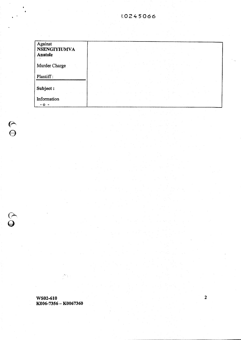| Against<br><b>NSENGIYIUMVA</b><br>Anatole |  |
|-------------------------------------------|--|
| Murder Charge                             |  |
| Plantiff:                                 |  |
| Subject:                                  |  |
| Information                               |  |

WS02-610 K006-7356 - K0067360

 $\mathbb{R}^{N_{\mathrm{c}}}$  :

 $\blacksquare$ 

**P**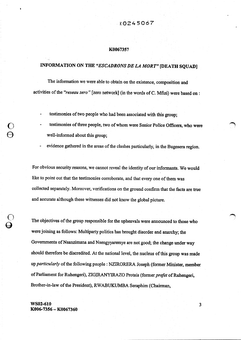#### K0067357

#### INFORMATION ON THE "ESCADRONS DE LA MORT" [DEATH SQUAD]

The information we were able to obtain on the existence, composition and activities of the "reseau zero" [zero network] (in the words of C. Mfizi) were based on :

- testimonies of two people who had been associated with this group;
- testimonies of three people, two of whom were Senior Police Officers, who were well-informed about this group;
- evidence gathered in the areas of the clashes particularly, in the Bugesera region.

For obvious security reasons, we cannot reveal the identity of our informants. We would like to point out that the testimonies corroborate, and that every one of them was collected separately. Moreover, verifications on the ground confirm that the facts are true and aceurate although these witnesses did not know the global picture.

The objectives of the group responsible for the upheavals were announced to those who were joining as follows: Multiparty politics has brought disorder and anarchy; the Governments of Nsanzimana and Nsengyyaremye are not good; the change under way should therefore be discredited. At the national level, the nucleus of this group was made up particularly of the following people : NZIRORERA Joseph (former Minister, member of Parliament for Ruhengeri), ZIGIRANYIRAZO Protais (former prefet of Ruhengeri, Brother-in-law of the President), RWABUKUMBA Seraphim (Chairman,

 $WS02-610$  3 K006-7356 - K0067360

©

O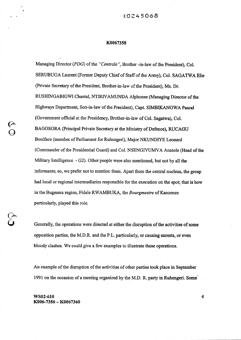#### [0245068

#### K0067358

Managing Director (PDG) of the "Centrale", Brother -in-law of the President), Col. SERUBUGA Laurent (Former Deputy Chief of Staff of the Army), Col. SAGATWA Elie (Private Secretary of the President, Brother-in-law of the President), Ms. Dr. RUSHINGABIGWI Chantal, NTIRIVAMUNDA Alphonse (Managing Director of the Highways Department, Son-in-law of the President), Capt. SIMBIKANGWA Pascal (Government official at the Presidency, Brother-in-law of Col. Sagatwa), Col. BAGOSORA (Principal Private Secretary at the Ministry of Defence), RUCAGU Boniface (member of Parliament for Ruhengeri), Major NKUND1YE Leonard (Commander of the Presidential Guard) and Col. NSENGIYUMVA Anatole (Head of the Military Intelligence - G2). Other people were also mentioned, but not by all the informants; so, we prefer hot to mention them. Apart from the central nucleus, the group had local or regional intermediaries responsible for the execution on the spot; that is how in the Bugesera region, Fidele RWAMBUKA, the Bourgmestre of Kanzenze partieularly, played this role.

Generally, the operations were directed at either the disruption of the activities of some opposition parties, the M.D.R. and the P.L. parficularly, or causing unrests, or even bloody clashes. We eould give a few examples to illustrate these operations.

An example of the disruption of the activities of other parties took place in September 1991 on the occasion of a meeting organized by the M.D. R. party in Ruhengeri. Some

 $\overline{\mathbf{4}}$ 

WS02-610 K006-7356 - K0067360

 $\Theta$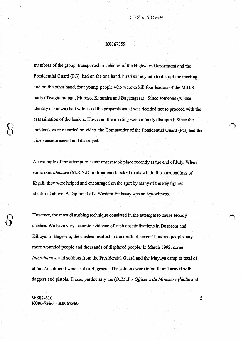#### K0067359

members of the group, transported in vehicles of the Highways Department and the Presidential Guard (PG), had on the one hand, hired some youth to disrupt the meeting, and on the other hand, four young people who were to kill four leaders of the M.D.R. party (Twagiramungu, Murego, Karamira and Bagaragaza). Since someone (whose identity is known) had witnessed the preparations, it was decided not to proceed with the assassination of the leaders. However, the meeting was violently disrupted. Since the incidents were recorded on video, the Commander of the Presidential Guard (PG) had the video casette seized and destroyed.

An example of the attempt to cause unrest took place recently at the end of July. When some Interahamwe (M.R.N.D. militiamen) blocked roads within the surroundings of Kigali, they were helped and encouraged on the spot by many of the key figures identified above. A Diplomat of a Western Embassy was an eye-witness.

However, the most disturbing technique consisted in the attempts to cause bloody clashes. Wehave very accurate evidence ofsueh destabilizations in Bugesera and Kibuye. In Bugesera, the clashes resulted in the death of several hundred people, any more wounded people and thousands of displaced people. In March 1992, some Interahamwe and soldiers from the Presidential Guard and the Mayuya camp (a total of about 75 soldiers) were sent to Bugesera. The soldiers were in mufti and armed with daggers and pistols. Those, particularly the (O.M.P.- Officiers du Ministere Public and

5

WS02-610 K006-7356 - K0067360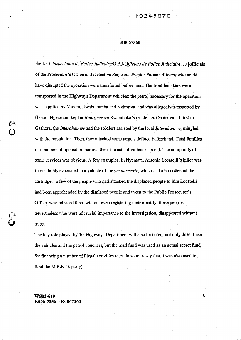the I.P.J-Inspecteurs de Police Judicaire/O.P.J-Of/îciers de Police Judiciaire..) [officiais of the Prosecutor's Office and Detective Sergeants /Senior Police Officers] who could have disrupted the operation were transferred beforehand. The troublemakers were transported in the Highways Department vehicles; the petrol necessary for the operation was supplied by Messrs. Rwabukumba and Nzirorera, and was allegedly transported by Hassan Ngeze and kept at Bourgmestre Rwambuka's residence. On arrival at first in Gashora, the *Interahamwe* and the soldiers assisted by the local *Interahamwe*, mingled with the population. Then, they attacked some targets defined beforehand, Tutsi families or members of opposition parties; then, the nets of violence spread. The complicity of some services was obvious. A few examples. In Nyamata, Antonia Locatelli's killer was immediately evacuated in a vehicle of the gendarmerie, which had also collected the cartridges; a few of the people who had attacked the displaced people to lure Locatelli had been apprehended by the displaced people and taken to the Public Prosecutor's Office, who released them without even registering their identity; these people, nevertheless who were of crucial importance to the investigation, disappeared without trace.

The key role played by the Highways Department will also be noted, hot only does it use the vehicles and the petrol vouchers, but the road fund was used as an actual secret fund for financing a number of illegal activities (certain sources say that it was also used to fund the M.R.N.D. party).

 $WS02-610$  6 K006-7356 - K0067360

©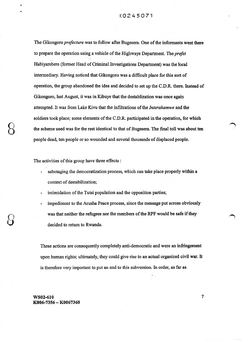The Gikongoro *prefecture* was to follow after Bugesera. One of the informants went there to prepare the operation using a vehicle of the Highways Department. The prefet Habiyambere (former Head of Criminal Investigations Department) was the local intermediary. Having noticed that Gikongoro was a diffieult place for this sort of operation, the group abandoned the idea and decided to set up the C.D.R. there. Instead of Gikongoro, last August, it was in Kibuye that the destablization was once again attempted. It was from Lake Kivu that the infiltrations of the *Interahamwe* and the soldiers took place; some elements of the C.D.R. participated in the operation, for which the scheme used was for the rest identical to that of Bugesera. The final toll was about ten people dead, ten people or se wounded and several thousands of displaced people.

The activities of this group have three effects :

- sabotaging the democratization process, which can take place properly within a context of destabilization;
- intimidation of the Tutsi population and the opposition parties;
- impediment to the Arusha Peace process, since the message put across obviously was that neither the refugees nor the members of the RPF would be safe if they decided to return to Rwanda.

These actions are consequently completely anti-democratic and were an infringement upon human rights; ultimately, they could give rise to an actual organized civil war. It is therefore very important to put an end to this subversion. In order, as far as

 $WS02-610$   $7$ K006-7356 - K0067360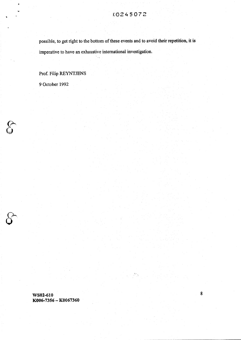possible, to get right to the bottom of these events and to avoid their repetition, it is imperative to have an exhaustive international investigation.

#### Prof. Filip REYNTJENS

90ctober 1992

 $\mathbf{A}$ 

 $\int\limits_{\mathbb{G}}$ 

WS02-610 K006-7356 - K0067360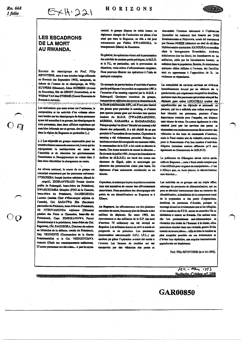Rn. 668 1 folio

ويموه والمرافض والرابا

 $O$   $\Theta$ 

#### HORIZONS  $E\times H$  221

#### **LES ESCADRONS DE LA MORT AU RWANDA.**

Extraits du témoignage du Prof. Filip REYNTIENS, suite à une mission belge effectuée au Rwanda (en Septembre 1992), composée, en dehors de l'auteur de ce témoignage, de Willy KUYPERS (Sénateur), Johan SCHEERS (Avocat de Bruxelles), Rik de GENDT (Journaliste), et de Wilfried VAN den STORME (Consul Honoraire du Rwanda & Anvers).

Les indications que nous avons sur l'existence. la composition et les activités d'un «réseau zéro» sont basées sur les témoignages de deux personnes ayant été associées à ce groupe, les témoignages de trois personnes, dont deux officiers supérieurs qui sont bien informés sur ce groupe, des témoignages dans la région du Bugesera en particulier (...)

(...) Les objectifs du groupe responsable pour les troubles étaient annoncés comme suit, à ceux qui jes rejoignaient: le moltipartisme est cause de l'anarchie et du désordre; les gouvernements Nsanzimana et Nsengiyaremye ne valent rien; il faut donc discréditer le changement en cours.

Au niveau national, le noyau de ce groupe est constitué notamment par les personnes suivantes: N'ZIRORERA Joseph (ancien ministre, député de

engeli), ZIGIRANYIRAZO Protais (ancien préfet de Ruhengeli, beau-frère du Président), RWABUKUMBA Séraphin (PDG de la Centrale. beau-frère du Président), Col.SERUBUGA Laurent (ancien Chef d'Etat-major adjoint de l'armée), Col. SAGATWA Elie (Secrétaire particulier du Président, beau-frère du Président), Mr NTIRIVAMUNDA Alphonse (Directeur général des Ponts et Chaussées, beau-fils du Président). Capt. SIMBIKANGWA Pascal (fonctionnaire à la présidence, beau-frère du Col. Sagatwa), Col. BAGOSORA, Directeur de cabinet au Ministère de la défense, cousin du Président). Maj. NKUNDIYE (Commandant de la Garde Présidentielle) et le Col. NSENGIYUMVA Anatole (Chefs des renseignements militaires). D'autres personnes ont été citées... A part le noyau

central, le groupe dispose de relais locaux ou régionaux chargés de l'exécution sur place; c'est sinsi que dans le Bugesera, ce rôle a été loué notamment par Fidèle RWAMBUKA, le bourgmestre (Maire) de Kanzenze.

En général, les opérations visent soit la perturbation des activités de certains partis politiques, le M.D.R. et le P.L. en particulier, soit la provocation de désordres, voire même d'affrontements sangiants. Nous pouvons illustrer ces opérations à l'aide de queiques exemples.

Un exemple de perturbation d'activités d'autres partis politiques s'est produit en septembre 1991 à l'occasion d'un meeting organisé par le M.D.R. à Ruhengeli. Quelques membres du groupe, transportés en véhicules des ponts et chaussées et de la Garde présidentielle (GP), ont d'une part recruté des jeunes pour perturber le meeting, et d'autres part quatres jeunes gens qui devaient tuer quatres leaders du M.D.R. (TWAGIRAMUNGU. MUREGO, KARAMIRA et BAGARAGAZA). Puisque quelqu'un (dont l'identité est connue) a été témoin des préparatifs, il a été décidé de ne pas procéder à l'assassinat de ces leaders. Cependant le meeting a été violemment perturbé. Puisque les incidents avaient été enregistrés sur cassettes vidéo, le commandant de la G.P. a fait saisir et détroire la bande. Une Autre tentative de causer le désordre... fin du mois de juillet 1991, lorsque les Interahamwe (millees du M.R.N.D.) ont barré des routes aux alentours de Kigali, aidés et encouragés par plusieurs des personnalités citées plus hauts. Un diplomate d'une ambassade occidentale en est témnin.

Cependant, la technique la plus inquiétante consiste dans des tentatives de causer des affrontements meurtriers. Nous possédons des témoignages très précis de ces déstabilisations au Bugesera et à Kibuve.

Au Bugesera, les affrontements ont fait plusieurs centaines de morts, heaucoup plus de blessés et des milliers de déplacés. En mars 1992, des Interahamwe et des militaires de la G.P. (un total d'environ 75 militaires) ont été envoyé au Bugesera. Les militaires étaient en civil et armés de poignards et de pistolets. Les personnes (responsables administratifs O.P.J. I.P.J...) oui auraient pu gêner l'opération avaient été mutés à l'avance. Les fauteurs de troubles ont été transportés par des véhicules des ponts et

chaussées; l'essence nécessaire à l'opéraction (incendier les maisons) était fournie par NAM Rwabukumba et Nzirorera, aurait été transpond par Hassan NGEZE (rédacteur en chef du célébre Hebdomadaire extrémiste: KANGURA) et stockee chez la honremectre Rusenbuks, Arrivas initialement (sur les lieux), les interahamwe es les militaires, aidés par les Interahamwe locaux, se mélaient dans la population. Ensuite, ils attaquations quelques cibies définies à l'avance, des familles tutsi ou appartenant à l'opposition; de là, les violences se répandaient.

La complicité de certains services est évidene immédiatement évacué par un véhicule de la gendarmerie, qui a également récupéré les douilles: quelques unes des personnes qui avaient attaqué les déplacés pour attirer LOCATELLI avaient en appréhendées par les déplacés et emmenés au parquet, qui les a relâchés sans même enregistrer leur identité; ces personnes, pourtant d'une importance cruciale pour l'enquête, ont dispare sans laisser de trace. On notera également le rôle central joué par les services des ponts et chaussées: non seniement mettent-ils en oeuvre des véhicules et des bons de commande d'essence. mais le Fond routier sent de véritable caisse noire pour le financement d'un bon nombre d'activités illégales (certaines sources affirment qu'il sen également au financement du M.R.N.D).

La préfecture de Gikongoro devait suivre après celle de Bugesera ... mais s'étant rendu compte que c'est difficile pour ce genre de manipulation... c'est à Kibuye que, en Août demier, la déstabilisation sera étendue....

Les activités de ce groupe ont un triple effet: sabotage du processus de démocratisation, qui ne peut se dérouier correctement dans un contexte de déstabilisation, intimidation de la composante tutai de la population et des partis d'opposition, handicap du processus d'Arusha, puisque le message donné est évidemment que ni les réfusiés. ni les membres du F.P.R. seront en sécurité s'ils se décidrient à rentrer au Rwanda. Ces actions sont dès lors profondément anti-démocratique et violatrice des droits de l'homme: à la limite, elles pourraient résulter dans une véritable guerre divile montée de toutes pièces... Afin de faire la lumière la plus complète possible sur ces événements et d'éviter leur répétition, une enquête internationale approfondie est impérieuse.

Prof. Filip REYNTIENS (le 9-10-1992).

 $Hev - Man - 1993$ **Bulletin Cridev.nº 109** 

**GAR00850**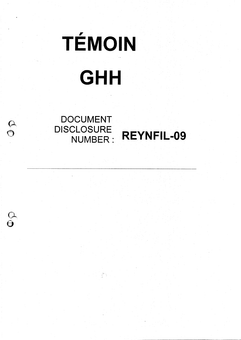

gili.<br>T

REYNFIL-09

DOCUMENT DISCLOSURE<br>: NUMBER

 $\frac{\partial}{\partial \theta}$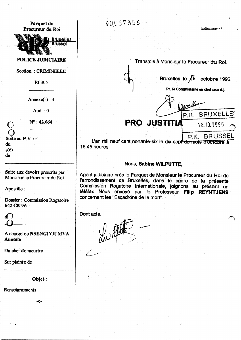#### Parquet du Procureur du Roi

**Bruxelles Brussel** 

#### POLICE JUDICIAIRE

Section : CRIMINELLE-

PJ 305

 $Annexe(s) : 4$ 

Aud.  $: 0$ 

 $N^{\circ}$  : 42.064

 $\epsilon$ Suite au P.V. n<sup>o</sup> du  $s(e)$ de

 $\overline{1}$ 

Suite aux devoirs prescrits par Monsieur le Procureur du Roi

Apostille :

Dossier: Commission Rogatoire 642 CR 96

A charge de NSENGIYIUMVA Anatole

Du chef de meurtre

Sur plainte de

Objet :-

w0-

Renseignements

K0067356

Indicateur n°

Transmis à Monsieur le Procureur du Roi.

Bruxelles, le  $\sqrt{3}$  octobre 1996.

Pr. le Commissaire en chef aux d.j.

 $0<sub>0</sub>$ P.R. BRUXELLES

**PRO JUSTITIA** 18.10.1996

P.K. BRUSSEI

L'an mil neuf cent nonante-six le dix-sept<sup>i</sup> du mois d'octobre à 16.45 heures,

#### Nous, Sabine WlLPUTTE,

Agent judiciaire près le Parquet de Monsieur le Procureur du Roi de l'arrondissement de Bruxelles, dans le cadre de la présente Commission Rogatoire Internationale, joignons au présent un téléfax Nous envoyé par le Professeur Filip REYNTJENS concernant les "Escadrons de la mort".

Dont acte.

J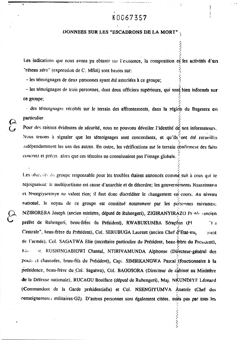タクラ

ちょうしん

#### DONNEES SUR LES "ESCADRONS DE LA MORT"

Les indications que nous avons pu obtenir sur l'existence, la composition et les activités d'un "réseau zéro" (expression de C. Mfizi) sont basées sur:

- les témoignages de deux personnes ayant été associées à ce groupe;

- les témoignages de trois personnes, dont deux officiers supérieurs, qui sont bien informés sur ce groupe:

- des témoignages récoltés sur le terrain des affrontements, dans la région du Bugesera en particulier.

Pour des raisons évidentes de sécurité, nous ne pouvons dévoiler l'identité dé nos informateurs. Nous tenons à signaler que les témoignages sont concordants, et qu'ils ont été recueillis audépendamment les uns des autres. En outre, les vérifications sur le terrain confirment des faits concrets et précis. alors que ces témoins ne connaissaient pas l'image globale.

Les objectifs du groupe responsable pour les troubles étaient annoncés commé suit à ceux qui le rejoignaient: le multipartisme est cause d'anarchie et de désordre; les gouvernéments Nsanzimana et Nsengiyaremye ne valent rien; il faut donc discréditer le changement en cours. Au niveau national, le noyau de ce groupe est constitué notamment par les personnes suivantes; NZIRORERA Joseph (ancien ministre, député de Ruhengeri), ZIGIRANYIRAZO Protéo cancien préfet de Ruhengeri, beau-frère du Président), RWABUKUMBA Séraphin (PI "La Centrale", beau-frère du Président), Col. SERUBUGA Laurent (ancien Chef d'Etat-ma, **TOERE** de l'armée). Col. SAGATWA Elie (secrétaire particulier du Président, beau-frère du President). Ning or, RUSHINGABIGWI Chantal, NTIRIVAMUNDA Alphonse (Directeur-general des pouts et chaussées, beau-fils du Président), Capt. SIMBIKANGWA Pascal (fonctionnaire à la présidence, beau-frère du Col. Sagatwa), Col. BAGOSORA (Directeur de cabinet au Ministère de la Défense nationale), RUCAGU Boniface (député de Ruhengeri), Maj. NKUNDIYE Léonard (Commandant de la Garde présidentielle) et Col. NSENGIYUMVA Anatole (Chef des renseignements militaires-G2). D'autres personnes sont également citées, mais pas par tous les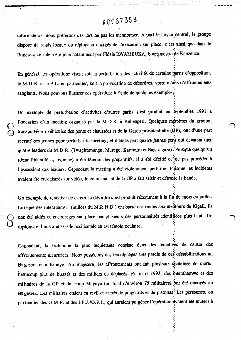#### KOC67358  $\ddot{\phantom{a}}$

/ /

t  $\mathcal{L}^+$  $\mathcal{L}$ 

/  $\mathcal{L}_{\mathcal{A}}$ I

7.

informateurs; nous préférons dès lors ne pas les mentionner. A part le noyau central, le groupe dispose de relais locaux ou régionaux chargés de l'exécution sur place; c'est ainsi que dans le Bugesera ce rôle a été joué notamment par Fidèle RWAMBUKA, bourgmestre de Kanzenze.

En général, les opérations visent soit la perturbation des activités de certains partis d'opposition, le M.D.R. et le P.L. en particulier, soit la provocation de désordres, voire même d'affrontements sanglants. Nous pouvons illustrer ces opérations à l'aide de quelques exemples $\ddot{\phi}$ 

Un exemple de perturbation d'activités d'autres partis s'est produit en septembre 1991 à l'occasion d'un meeting organisé par le M.D.R. à Ruhengeri. Quelques mémbres du groupe, transportés en véhicules des ponts et chaussées et de la Garde présidentielle (QP), ont d'une part recruté des jeunes pour perturber le meeting, et d'autre part quatre jeunes gens qui devaient tuer  $\lambda_{\rm{eff}}$ quatre leaders du M.D.R. (Twagiramungu, Murego, Karamira et Bagaragaza). Puisque quelqu'un (dont l'identité est connue) a été témoin des préparatifs, il a été décidé de ne pas procéder à l'assassinat des leaders. Cependant le meeting a été violemment perturbé. Puisque les incidents avaient été enregistrés sur vidéo, le commandant de la GP a fait saisir et détruite la bande.

 $\zeta$  $\epsilon$ 

> 5 Un, exemple de tentative de causer le désordre s'est produit récemment à la fin du mois de juillet. Lorsque des Interaham » (milices du M.R.N.D.) ont barré des routes aux alentours de Kigali, ils  $\mathbb{Z}^+$ ont été aidés et encourages sur place par plusieurs des personnalités identifiées plus naut. Un ç diplomate d'une ambassade occidentale en est témoin oculaire.

Cependant, la technique la plus inquiétante consiste dans des tentatives de causer des  $\epsilon$ affrontements meurtriers. Nous possédons des témoignages très précis de ces déstabilisations au Bugesera et à Kibuye. Au Bugesera, les affrontements ont fait plusieurs centaines de morts, beaucoup plus de blessés et des milliers de déplacés. En mars 1992, des interahamwe et des f militaires de la GP et du camp Mayuya (un total d'environ 75 militaires) ont été envoyés au Bugesera, Les militaires étaient en civil et armés de poignards et de pistolets? Les personnes, en  $\mathcal{L}$ particulier des O.M.P. et des I.P.J./O.P.J., qui auraient pu gêner l'opération avaient été mutées a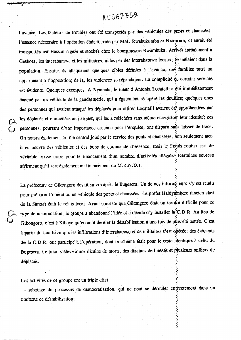l'avance. Les fauteurs de troubles ont été transportés par des véhicules des ponts et chaussées; l'essence nécessaire à l'opération était fournie par MM. Rwabukumba et Nzirorera, et aurait été f transportée par Hassan Ngeze et stockée chez le bourgmestre Rwambuka. Amves initialement à t« Gashora, les interahamwe et les militaires, aidés par des interahamwe locaux, se melatent dans la L population. Ensuite ils attaquaient quelques cibles définies à l'avance, des familles tutsi ou appartenant à l'opposition; de la, les violences se répandaient. La complicité de certains services est évidente. Quelques exemples. A Nyamata, le tueur d'Antonia Locatelli a été immédiatement évacué par un véhicule de la gendarmerie, qui a également récupéré les douifles; quelques-unes des personnes qui avaient attaqué les déplacés pour attirer Locatelli avaient été apprenendées par les déplacés et emmenées au parquet, qui les a relâchées sans même enregistre rieur identité; ces 7 personnes, pourtant d'une importance cruciale pour l'enquete, ont disparu saus laisser de dacc. On notera également le rôle central joué par le service des ponts et chaussées; non seulement metil en oeuvre des véhicules et des bons de commande d'essence, mais le Fonds routier sert de véritable caisse noire pour le financement d'un nombre d'activités illégales (certaines sources «. affirment qu'il sert également au financement du M.R.N.D.). i-

La préfecture de Gikongoro devait suivre après le Bugesera. Un de nos informateurs s'y est rendu 6 pour préparer l'opération en véhicule des ponts et chaussées. Le préfet Habiyamocre (ancien chef de la Sûreté) était le relais local. Ayant constaté que Gikongoro était un terrain difficile pour ce type de manipulation, le groupe a abandonné l'idée et a décidé d'y installer Ia(C.D.R. Au Beu de Gikongoro, c'est à Kibuye qu'en août dernier la déstabilisation a une fois de plus été tentée. C'est à partir du Lac Kivu que les infiltrations d'interahamwe et de militaires s'est opérée; des éléments de la C.D.R. ont participé à l'opération, dont le schéma était pour le reste iéentique à celui du / Bugesera, Le bilan s'élève à une dizaine de morts, des dizaines de blessés et plusieurs milliers de déplacés.

o:, 7

/

Les activités de ce groupe ont un triple effet:

 $\epsilon$ 

sabotage du processus de démocratisation, qui ne peut se dérouler correctement dans un ちょうきょうりんきん きょうしょう contexte de déstabilisation;

. As a set of the set of the set of the set of the set of the set of the set of the set of the set of the set of the set of the set of the set of the set of the set of the set of the set of the set of the set of the set o